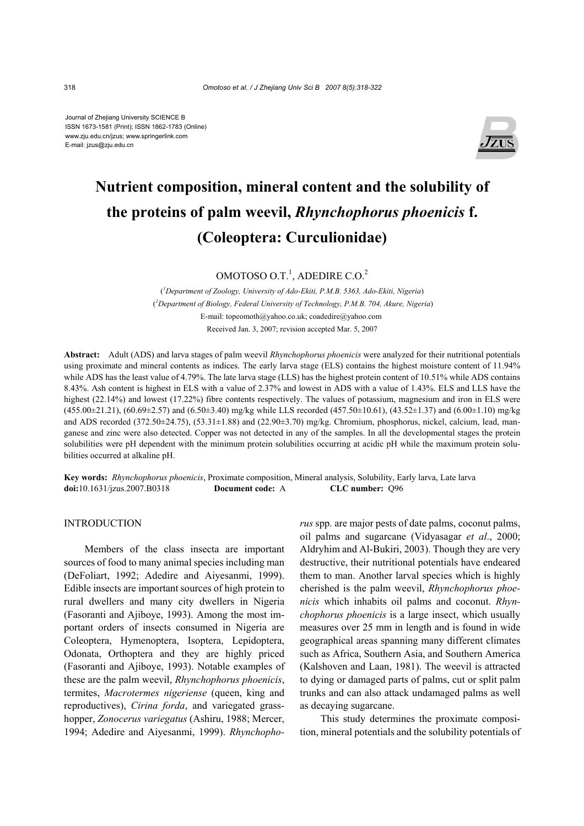Journal of Zhejiang University SCIENCE B ISSN 1673-1581 (Print); ISSN 1862-1783 (Online) www.zju.edu.cn/jzus; www.springerlink.com E-mail: jzus@zju.edu.cn



# **Nutrient composition, mineral content and the solubility of the proteins of palm weevil,** *Rhynchophorus phoenicis* **f. (Coleoptera: Curculionidae)**

OMOTOSO O.T.<sup>1</sup>, ADEDIRE C.O.<sup>2</sup>

( *1 Department of Zoology, University of Ado-Ekiti, P.M.B. 5363, Ado-Ekiti, Nigeria*) (*2 Department of Biology, Federal University of Technology, P.M.B. 704, Akure, Nigeria*) E-mail: topeomoth@yahoo.co.uk; coadedire@yahoo.com Received Jan. 3, 2007; revision accepted Mar. 5, 2007

**Abstract:** Adult (ADS) and larva stages of palm weevil *Rhynchophorus phoenicis* were analyzed for their nutritional potentials using proximate and mineral contents as indices. The early larva stage (ELS) contains the highest moisture content of 11.94% while ADS has the least value of 4.79%. The late larva stage (LLS) has the highest protein content of 10.51% while ADS contains 8.43%. Ash content is highest in ELS with a value of 2.37% and lowest in ADS with a value of 1.43%. ELS and LLS have the highest (22.14%) and lowest (17.22%) fibre contents respectively. The values of potassium, magnesium and iron in ELS were  $(455.00\pm21.21)$ ,  $(60.69\pm2.57)$  and  $(6.50\pm3.40)$  mg/kg while LLS recorded  $(457.50\pm10.61)$ ,  $(43.52\pm1.37)$  and  $(6.00\pm1.10)$  mg/kg and ADS recorded (372.50 $\pm$ 24.75), (53.31 $\pm$ 1.88) and (22.90 $\pm$ 3.70) mg/kg. Chromium, phosphorus, nickel, calcium, lead, manganese and zinc were also detected. Copper was not detected in any of the samples. In all the developmental stages the protein solubilities were pH dependent with the minimum protein solubilities occurring at acidic pH while the maximum protein solubilities occurred at alkaline pH.

**Key words:** *Rhynchophorus phoenicis*, Proximate composition, Mineral analysis, Solubility, Early larva, Late larva **doi:**10.1631/jzus.2007.B0318 **Document code:** A **CLC number:** Q96

## INTRODUCTION

Members of the class insecta are important sources of food to many animal species including man (DeFoliart, 1992; Adedire and Aiyesanmi, 1999). Edible insects are important sources of high protein to rural dwellers and many city dwellers in Nigeria (Fasoranti and Ajiboye, 1993). Among the most important orders of insects consumed in Nigeria are Coleoptera, Hymenoptera, Isoptera, Lepidoptera, Odonata, Orthoptera and they are highly priced (Fasoranti and Ajiboye, 1993). Notable examples of these are the palm weevil, *Rhynchophorus phoenicis*, termites, *Macrotermes nigeriense* (queen, king and reproductives), *Cirina forda*, and variegated grasshopper, *Zonocerus variegatus* (Ashiru, 1988; Mercer, 1994; Adedire and Aiyesanmi, 1999). *Rhynchopho-* *rus* spp. are major pests of date palms, coconut palms, oil palms and sugarcane (Vidyasagar *et al*., 2000; Aldryhim and Al-Bukiri, 2003). Though they are very destructive, their nutritional potentials have endeared them to man. Another larval species which is highly cherished is the palm weevil, *Rhynchophorus phoenicis* which inhabits oil palms and coconut. *Rhynchophorus phoenicis* is a large insect, which usually measures over 25 mm in length and is found in wide geographical areas spanning many different climates such as Africa, Southern Asia, and Southern America (Kalshoven and Laan, 1981). The weevil is attracted to dying or damaged parts of palms, cut or split palm trunks and can also attack undamaged palms as well as decaying sugarcane.

This study determines the proximate composition, mineral potentials and the solubility potentials of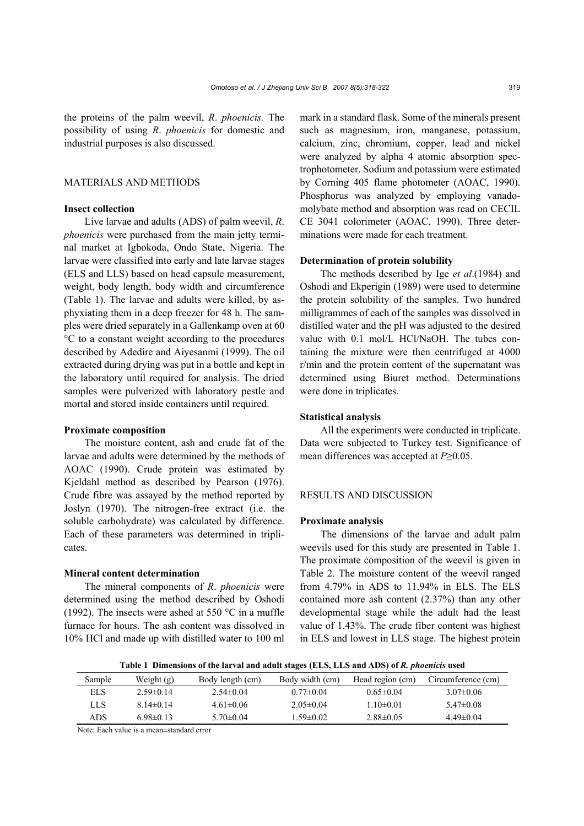the proteins of the palm weevil, *R*. *phoenicis.* The possibility of using *R*. *phoenicis* for domestic and industrial purposes is also discussed.

# MATERIALS AND METHODS

## **Insect collection**

Live larvae and adults (ADS) of palm weevil, *R*. *phoenicis* were purchased from the main jetty terminal market at Igbokoda, Ondo State, Nigeria. The larvae were classified into early and late larvae stages (ELS and LLS) based on head capsule measurement, weight, body length, body width and circumference (Table 1). The larvae and adults were killed, by asphyxiating them in a deep freezer for 48 h. The samples were dried separately in a Gallenkamp oven at 60 °C to a constant weight according to the procedures described by Adedire and Aiyesanmi (1999). The oil extracted during drying was put in a bottle and kept in the laboratory until required for analysis. The dried samples were pulverized with laboratory pestle and mortal and stored inside containers until required.

## **Proximate composition**

The moisture content, ash and crude fat of the larvae and adults were determined by the methods of AOAC (1990). Crude protein was estimated by Kjeldahl method as described by Pearson (1976). Crude fibre was assayed by the method reported by Joslyn (1970). The nitrogen-free extract (i.e. the soluble carbohydrate) was calculated by difference. Each of these parameters was determined in triplicates.

#### **Mineral content determination**

The mineral components of *R*. *phoenicis* were determined using the method described by Oshodi (1992). The insects were ashed at 550 °C in a muffle furnace for hours. The ash content was dissolved in 10% HCl and made up with distilled water to 100 ml

mark in a standard flask. Some of the minerals present such as magnesium, iron, manganese, potassium, calcium, zinc, chromium, copper, lead and nickel were analyzed by alpha 4 atomic absorption spectrophotometer. Sodium and potassium were estimated by Corning 405 flame photometer (AOAC, 1990). Phosphorus was analyzed by employing vanadomolybate method and absorption was read on CECIL CE 3041 colorimeter (AOAC, 1990). Three determinations were made for each treatment.

#### **Determination of protein solubility**

The methods described by Ige *et al*.(1984) and Oshodi and Ekperigin (1989) were used to determine the protein solubility of the samples. Two hundred milligrammes of each of the samples was dissolved in distilled water and the pH was adjusted to the desired value with 0.1 mol/L HCl/NaOH. The tubes containing the mixture were then centrifuged at 4000 r/min and the protein content of the supernatant was determined using Biuret method. Determinations were done in triplicates.

#### **Statistical analysis**

All the experiments were conducted in triplicate. Data were subjected to Turkey test. Significance of mean differences was accepted at *P*≥0.05.

#### RESULTS AND DISCUSSION

#### **Proximate analysis**

The dimensions of the larvae and adult palm weevils used for this study are presented in Table 1. The proximate composition of the weevil is given in Table 2. The moisture content of the weevil ranged from 4.79% in ADS to 11.94% in ELS. The ELS contained more ash content (2.37%) than any other developmental stage while the adult had the least value of 1.43%. The crude fiber content was highest in ELS and lowest in LLS stage. The highest protein

**Table 1 Dimensions of the larval and adult stages (ELS, LLS and ADS) of** *R. phoenicis* **used**

| Sample | Weight $(g)$   | Body length (cm) | Body width (cm) | Head region (cm) | Circumference (cm) |
|--------|----------------|------------------|-----------------|------------------|--------------------|
| EL S   | $2.59\pm 0.14$ | $2.54\pm 0.04$   | $0.77\pm 0.04$  | $0.65 \pm 0.04$  | $3.07\pm0.06$      |
| LLS    | $8.14\pm 0.14$ | $4.61 \pm 0.06$  | $2.05 \pm 0.04$ | $1.10 \pm 0.01$  | $5.47\pm0.08$      |
| ADS    | $6.98\pm0.13$  | $5.70\pm 0.04$   | $1.59 \pm 0.02$ | $2.88\pm0.05$    | $4.49\pm0.04$      |

Note: Each value is a mean±standard error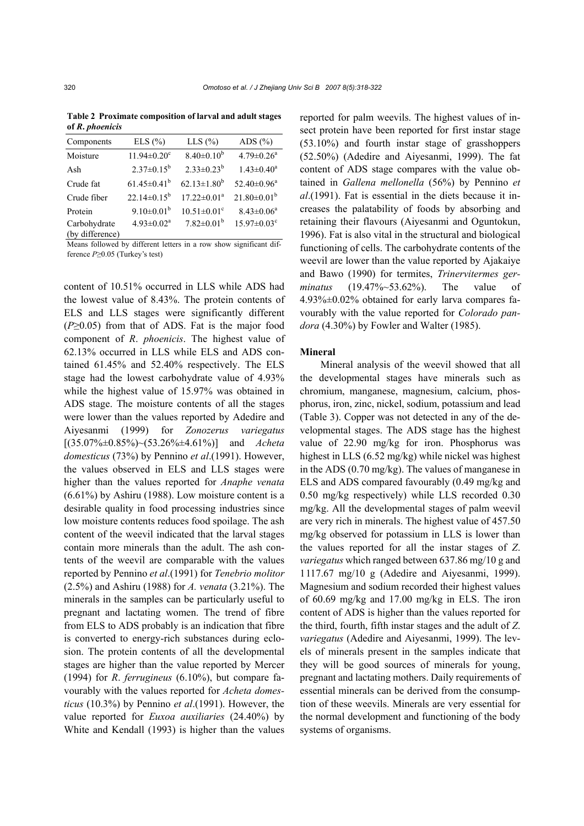| $5 - 20$        |                               |                               |                               |  |  |  |
|-----------------|-------------------------------|-------------------------------|-------------------------------|--|--|--|
| Components      | ELS $(\% )$                   | $LLS$ $(\%$                   | ADS $(\% )$                   |  |  |  |
| Moisture        | $11.94 \pm 0.20$ <sup>c</sup> | $8.40 \pm 0.10^b$             | $4.79 \pm 0.26$ <sup>a</sup>  |  |  |  |
| Ash             | $2.37 \pm 0.15^b$             | $2.33 \pm 0.23^b$             | $1.43 \pm 0.40^a$             |  |  |  |
| Crude fat       | $61.45 \pm 0.41^b$            | $62.13 \pm 1.80^b$            | $52.40 \pm 0.96^a$            |  |  |  |
| Crude fiber     | $22.14\pm0.15^b$              | $17.22 \pm 0.01^a$            | $21.80 \pm 0.01^b$            |  |  |  |
| Protein         | $9.10 \pm 0.01^b$             | $10.51 \pm 0.01$ <sup>c</sup> | $8.43 \pm 0.06^a$             |  |  |  |
| Carbohydrate    | $4.93 \pm 0.02^a$             | $7.82 \pm 0.01^b$             | $15.97 \pm 0.03$ <sup>c</sup> |  |  |  |
| (by difference) |                               |                               |                               |  |  |  |

**Table 2 Proximate composition of larval and adult stages of** *R***.** *phoenicis*

Means followed by different letters in a row show significant difference *P*≥0.05 (Turkey's test)

content of 10.51% occurred in LLS while ADS had the lowest value of 8.43%. The protein contents of ELS and LLS stages were significantly different (*P*≥0.05) from that of ADS. Fat is the major food component of *R*. *phoenicis*. The highest value of 62.13% occurred in LLS while ELS and ADS contained 61.45% and 52.40% respectively. The ELS stage had the lowest carbohydrate value of 4.93% while the highest value of 15.97% was obtained in ADS stage. The moisture contents of all the stages were lower than the values reported by Adedire and Aiyesanmi (1999) for *Zonozerus variegatus*  [(35.07%±0.85%)~(53.26%±4.61%)] and *Acheta domesticus* (73%) by Pennino *et al*.(1991). However, the values observed in ELS and LLS stages were higher than the values reported for *Anaphe venata*  (6.61%) by Ashiru (1988). Low moisture content is a desirable quality in food processing industries since low moisture contents reduces food spoilage. The ash content of the weevil indicated that the larval stages contain more minerals than the adult. The ash contents of the weevil are comparable with the values reported by Pennino *et al*.(1991) for *Tenebrio molitor*  (2.5%) and Ashiru (1988) for *A. venata* (3.21%). The minerals in the samples can be particularly useful to pregnant and lactating women. The trend of fibre from ELS to ADS probably is an indication that fibre is converted to energy-rich substances during eclosion. The protein contents of all the developmental stages are higher than the value reported by Mercer (1994) for *R*. *ferrugineus* (6.10%), but compare favourably with the values reported for *Acheta domesticus* (10.3%) by Pennino *et al*.(1991). However, the value reported for *Euxoa auxiliaries* (24.40%) by White and Kendall (1993) is higher than the values

reported for palm weevils. The highest values of insect protein have been reported for first instar stage (53.10%) and fourth instar stage of grasshoppers (52.50%) (Adedire and Aiyesanmi, 1999). The fat content of ADS stage compares with the value obtained in *Gallena mellonella* (56%) by Pennino *et al*.(1991). Fat is essential in the diets because it increases the palatability of foods by absorbing and retaining their flavours (Aiyesanmi and Oguntokun, 1996). Fat is also vital in the structural and biological functioning of cells. The carbohydrate contents of the weevil are lower than the value reported by Ajakaiye and Bawo (1990) for termites, *Trinervitermes germinatus* (19.47%~53.62%). The value of 4.93%±0.02% obtained for early larva compares favourably with the value reported for *Colorado pandora* (4.30%) by Fowler and Walter (1985).

#### **Mineral**

Mineral analysis of the weevil showed that all the developmental stages have minerals such as chromium, manganese, magnesium, calcium, phosphorus, iron, zinc, nickel, sodium, potassium and lead (Table 3). Copper was not detected in any of the developmental stages. The ADS stage has the highest value of 22.90 mg/kg for iron. Phosphorus was highest in LLS (6.52 mg/kg) while nickel was highest in the ADS (0.70 mg/kg). The values of manganese in ELS and ADS compared favourably (0.49 mg/kg and 0.50 mg/kg respectively) while LLS recorded 0.30 mg/kg. All the developmental stages of palm weevil are very rich in minerals. The highest value of 457.50 mg/kg observed for potassium in LLS is lower than the values reported for all the instar stages of *Z*. *variegatus* which ranged between 637.86 mg/10 g and 1117.67 mg/10 g (Adedire and Aiyesanmi, 1999). Magnesium and sodium recorded their highest values of 60.69 mg/kg and 17.00 mg/kg in ELS. The iron content of ADS is higher than the values reported for the third, fourth, fifth instar stages and the adult of *Z*. *variegatus* (Adedire and Aiyesanmi, 1999). The levels of minerals present in the samples indicate that they will be good sources of minerals for young, pregnant and lactating mothers. Daily requirements of essential minerals can be derived from the consumption of these weevils. Minerals are very essential for the normal development and functioning of the body systems of organisms.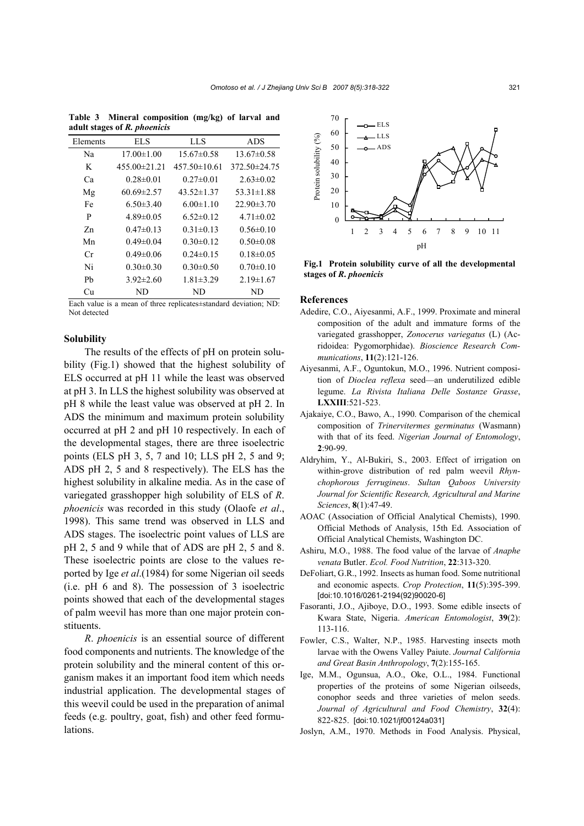| Elements | EL S             | LLS                | <b>ADS</b>         |
|----------|------------------|--------------------|--------------------|
| Na       | $17.00 \pm 1.00$ | $15.67\pm0.58$     | $13.67\pm0.58$     |
| K        | $455.00\pm21.21$ | $457.50 \pm 10.61$ | $372.50 \pm 24.75$ |
| Ca       | $0.28 \pm 0.01$  | $0.27 \pm 0.01$    | $2.63 \pm 0.02$    |
| Mg       | $60.69 \pm 2.57$ | $43.52 \pm 1.37$   | $53.31 \pm 1.88$   |
| Fe       | $6.50 \pm 3.40$  | $6.00 \pm 1.10$    | $22.90 \pm 3.70$   |
| P        | $4.89 \pm 0.05$  | $6.52 \pm 0.12$    | $4.71 \pm 0.02$    |
| Zn       | $0.47\pm 0.13$   | $0.31 \pm 0.13$    | $0.56 \pm 0.10$    |
| Mn       | $0.49 \pm 0.04$  | $0.30 \pm 0.12$    | $0.50 \pm 0.08$    |
| Сr       | $0.49 \pm 0.06$  | $0.24 \pm 0.15$    | $0.18 \pm 0.05$    |
| Ni       | $0.30 \pm 0.30$  | $0.30 \pm 0.50$    | $0.70 \pm 0.10$    |
| Ph       | $3.92 \pm 2.60$  | $1.81 \pm 3.29$    | $2.19 \pm 1.67$    |
| Cп       | ND               | ND                 | ND                 |

**Table 3 Mineral composition (mg/kg) of larval and adult stages of** *R. phoenicis*

Each value is a mean of three replicates±standard deviation; ND: Not detected

#### **Solubility**

The results of the effects of pH on protein solubility (Fig.1) showed that the highest solubility of ELS occurred at pH 11 while the least was observed at pH 3. In LLS the highest solubility was observed at pH 8 while the least value was observed at pH 2. In ADS the minimum and maximum protein solubility occurred at pH 2 and pH 10 respectively. In each of the developmental stages, there are three isoelectric points (ELS pH 3, 5, 7 and 10; LLS pH 2, 5 and 9; ADS pH 2, 5 and 8 respectively). The ELS has the highest solubility in alkaline media. As in the case of variegated grasshopper high solubility of ELS of *R*. *phoenicis* was recorded in this study (Olaofe *et al*., 1998). This same trend was observed in LLS and ADS stages. The isoelectric point values of LLS are pH 2, 5 and 9 while that of ADS are pH 2, 5 and 8. These isoelectric points are close to the values reported by Ige *et al*.(1984) for some Nigerian oil seeds (i.e. pH 6 and 8). The possession of 3 isoelectric points showed that each of the developmental stages of palm weevil has more than one major protein constituents.

*R*. *phoenicis* is an essential source of different food components and nutrients. The knowledge of the protein solubility and the mineral content of this organism makes it an important food item which needs industrial application. The developmental stages of this weevil could be used in the preparation of animal feeds (e.g. poultry, goat, fish) and other feed formulations.



**Fig.1 Protein solubility curve of all the developmental stages of** *R***.** *phoenicis*

#### **References**

- Adedire, C.O., Aiyesanmi, A.F., 1999. Proximate and mineral composition of the adult and immature forms of the variegated grasshopper, *Zonocerus variegatus* (L) (Acridoidea: Pygomorphidae). *Bioscience Research Communications*, **11**(2):121-126.
- Aiyesanmi, A.F., Oguntokun, M.O., 1996. Nutrient composition of *Dioclea reflexa* seed—an underutilized edible legume. *La Rivista Italiana Delle Sostanze Grasse*, **LXXIII**:521-523.
- Ajakaiye, C.O., Bawo, A., 1990. Comparison of the chemical composition of *Trinervitermes germinatus* (Wasmann) with that of its feed. *Nigerian Journal of Entomology*, **2**:90-99.
- Aldryhim, Y., Al-Bukiri, S., 2003. Effect of irrigation on within-grove distribution of red palm weevil *Rhynchophorous ferrugineus*. *Sultan Qaboos University Journal for Scientific Research, Agricultural and Marine Sciences*, **8**(1):47-49.
- AOAC (Association of Official Analytical Chemists), 1990. Official Methods of Analysis, 15th Ed. Association of Official Analytical Chemists, Washington DC.
- Ashiru, M.O., 1988. The food value of the larvae of *Anaphe venata* Butler. *Ecol. Food Nutrition*, **22**:313-320.
- DeFoliart, G.R., 1992. Insects as human food. Some nutritional and economic aspects. *Crop Protection*, **11**(5):395-399. [doi:10.1016/0261-2194(92)90020-6]
- Fasoranti, J.O., Ajiboye, D.O., 1993. Some edible insects of Kwara State, Nigeria. *American Entomologist*, **39**(2): 113-116.
- Fowler, C.S., Walter, N.P., 1985. Harvesting insects moth larvae with the Owens Valley Paiute. *Journal California and Great Basin Anthropology*, **7**(2):155-165.
- Ige, M.M., Ogunsua, A.O., Oke, O.L., 1984. Functional properties of the proteins of some Nigerian oilseeds, conophor seeds and three varieties of melon seeds. *Journal of Agricultural and Food Chemistry*, **32**(4): 822-825. [doi:10.1021/jf00124a031]
- Joslyn, A.M., 1970. Methods in Food Analysis. Physical,